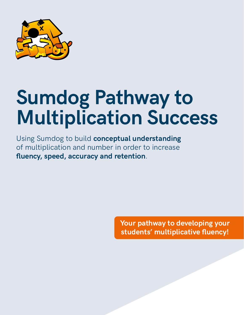

# **Sumdog Pathway to Multiplication Success**

Using Sumdog to build **conceptual understanding** of multiplication and number in order to increase **fluency, speed, accuracy and retention**.

> **Your pathway to developing your students' multiplicative fluency!**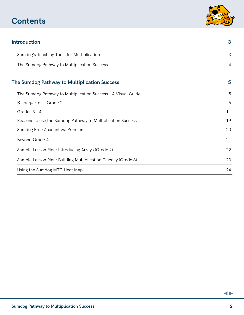# **Contents**



| <b>Introduction</b>                                           | 3  |
|---------------------------------------------------------------|----|
| Sumdog's Teaching Tools for Multiplication                    | 3  |
| The Sumdog Pathway to Multiplication Success                  | 4  |
| <b>The Sumdog Pathway to Multiplication Success</b>           | 5  |
| The Sumdog Pathway to Multiplication Success - A Visual Guide | 5  |
| Kindergarten - Grade 2                                        | 6  |
| Grades $3 - 4$                                                | 11 |
| Reasons to use the Sumdog Pathway to Multiplication Success   | 19 |
| Sumdog Free Account vs. Premium                               | 20 |
| Beyond Grade 4                                                | 21 |
| Sample Lesson Plan: Introducing Arrays (Grade 2)              | 22 |
| Sample Lesson Plan: Building Multiplication Fluency (Grade 3) | 23 |
| Using the Sumdog MTC Heat Map                                 | 24 |
|                                                               |    |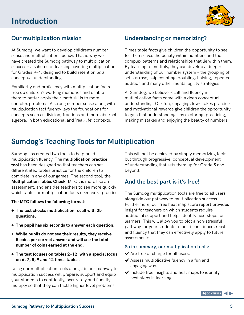

### **Our multiplication mission**

At Sumdog, we want to develop children's number sense and multiplication fluency. That is why we have created the Sumdog pathway to multiplication success – a scheme of learning covering multiplication for Grades K–4, designed to build retention *and* conceptual understanding.

Familiarity and proficiency with multiplication facts free up children's working memories and enable them to better apply their math skills to more complex problems. A strong number sense along with multiplication fact fluency lays the foundations for concepts such as division, fractions and more abstract algebra, in both educational and 'real-life' contexts.

### **Understanding or memorizing?**

Times table facts give children the opportunity to see for themselves the beauty within numbers and the complex patterns and relationships that lie within them. By learning to multiply, they can develop a deeper understanding of our number system – the grouping of sets, arrays, skip counting, doubling, halving, repeated addition and many other mental agility strategies.

At Sumdog, we believe recall and fluency in mutliplication facts come with a deep conceptual understanding. Our fun, engaging, low-stakes practice and motivational rewards give children the opportunity to gain that understanding – by exploring, practicing, making mistakes and enjoying the beauty of numbers.

### **Sumdog's Teaching Tools for Multiplication**

Sumdog has created two tools to help build multiplication fluency. The **multiplication practice tool** has been designed so that teachers can set differentiated tables practice for the children to complete in any of our games. The second tool, the **Multiplication Tables Check** (MTC), is more like an assessment, and enables teachers to see more quickly which tables or multiplication facts need extra practice.

### **The MTC follows the following format:**

- **+ The test checks multiplication recall with 25 questions.**
- **+ The pupil has six seconds to answer each question.**
- **+ While pupils do not see their results, they receive 5 coins per correct answer and will see the total number of coins earned at the end.**
- **+ The test focuses on tables 2–12, with a special focus on 6, 7, 8, 9 and 12 times tables.**

Using our multiplication tools alongside our pathway to multiplication success will prepare, support and equip your students to confdently, accurately and fluently multiply so that they can tackle higher level problems.

This will not be achieved by simply memorizing facts but through progressive, conceptual development of understanding that sets them up for Grade 5 and beyond.

### **And the best part is it's free!**

The Sumdog multiplication tools are free to all users alongside our pathway to multiplication success. Furthermore, our free heat map score report provides insight for teachers on which students require additional support and helps identify next steps for learners. This will allow you to plot a non-stressful pathway for your students to build confidence, recall and fluency that they can effectively apply to future assessments.

### **So in summary, our multiplication tools:**

- $\blacktriangleright$  Are free of charge for all users.
- $\blacktriangledown$  Assess multiplicative fluency in a fun and engaging way.
- $\checkmark$  Include free insights and heat maps to identify next steps in learning.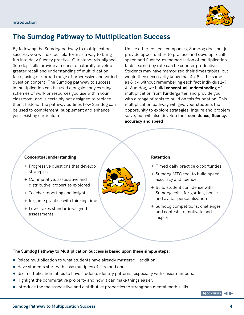

### **The Sumdog Pathway to Multiplication Success**

By following the Sumdog pathway to multiplication success, you will use our platform as a way to bring fun into daily fluency practice. Our standards-aligned Sumdog skills provide a means to naturally develop greater recall and understanding of multiplication facts, using our broad range of progressive and varied question content. The Sumdog pathway to success in multiplication can be used alongside any existing schemes of work or resources you use within your classroom, and is certainly not designed to replace them. Instead, the pathway outlines how Sumdog can be used to complement, supplement and enhance your existing curriculum.

Unlike other ed-tech companies, Sumdog does not just provide opportunities to practice and develop recall speed and fluency, as memorization of multiplication facts learned by rote can be counter productive. Students may have memorized their times tables, but would they necessarily know that  $4 \times 8$  is the same as 8 x 4 without remembering each fact individually? At Sumdog, we build **conceptual understanding** of multiplication from Kindergarten and provide you with a range of tools to build on this foundation. This multiplication pathway will give your students the opportunity to explore strategies, inquire and problem solve, but will also develop their **confidence, fluency, accuracy and speed**.

### **Conceptual understanding**

- + Progressive questions that develop strategies
- + Commutative, associative and distributive properties explored
- + Teacher reporting and insights
- + In-game practice with thinking time
- + Low-stakes standards-aligned assessments



#### **Retention**

- + Timed daily practice opportunties
- + Sumdog MTC tool to build speed, accuracy and fluency
- + Build student confidence with Sumdog coins for garden, house and avatar personalization
- + Sumdog competitions, challenges and contests to motivate and inspire

### **The Sumdog Pathway to Multiplication Success is based upon these simple steps:**

- Relate multiplication to what students have already mastered addition.
- Have students start with easy multiples of zero and one.
- ● Use multiplication tables to have students identify patterns, especially with easier numbers.
- Highlight the commutative property and how it can make things easier.
- Introduce the the associative and distributive properties to strengthen mental math skills.

**K** CONTENTS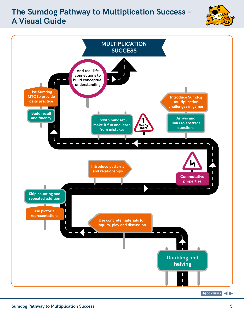### **The Sumdog Pathway to Multiplication Success -A Visual Guide**



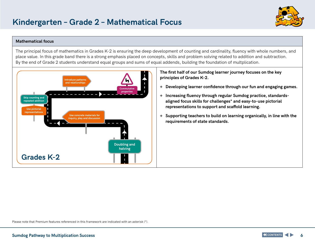

#### **Mathematical focus daily practice**

The principal focus of mathematics in Grades K-2 is ensuring the deep development of counting and cardinality, fluency with whole numbers, and place value. In this grade band there is a strong emphasis placed on concepts, skills and problem solving related to addition and subtraction. By the end of Grade 2 students understand equal groups and sums of equal addends, building the foundation of multplication.

**multiplication** 



**The first half of our Sumdog learner journey focuses on the key principles of Grades K-2.**

- **+ Developing learner confidence through our fun and engaging games.**
- **+ Increasing fluency through regular Sumdog practice, standardsaligned focus skills for challenges\* and easy-to-use pictorial representations to support and scaffold learning.**
- **+ Supporting teachers to build on learning organically, in line with the requirements of state standards.**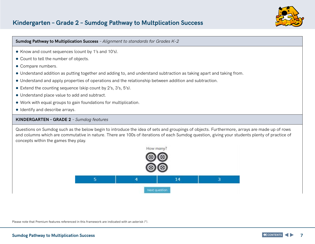

#### **Sumdog Pathway to Multiplication Success** *– Alignment to standards for Grades K–2*

- Know and count sequences (count by 1's and 10's).
- ● Count to tell the number of objects.
- Compare numbers.
- Understand addition as putting together and adding to, and understand subtraction as taking apart and taking from.
- Understand and apply properties of operations and the relationship between addition and subtraction.
- Extend the counting sequence (skip count by 2's, 3's, 5's).
- ● Understand place value to add and subtract.
- ● Work with equal groups to gain foundations for multiplication.
- ● Identify and describe arrays.

#### **KINDERGARTEN – GRADE 2** *– Sumdog features*

Questions on Sumdog such as the below begin to introduce the idea of sets and groupings of objects. Furthermore, arrays are made up of rows and columns which are commutative in nature. There are 100s of iterations of each Sumdog question, giving your students plenty of practice of concepts within the games they play.

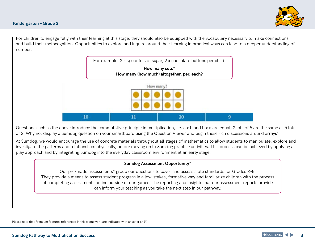

For children to engage fully with their learning at this stage, they should also be equipped with the vocabulary necessary to make connections and build their metacognition. Opportunities to explore and inquire around their learning in practical ways can lead to a deeper understanding of number.



Questions such as the above introduce the commutative principle in multiplication, i.e. a x b and b x a are equal, 2 lots of 5 are the same as 5 lots of 2. Why not display a Sumdog question on your smartboard using the Question Viewer and begin these rich discussions around arrays?

At Sumdog, we would encourage the use of concrete materials throughout all stages of mathematics to allow students to manipulate, explore and investigate the patterns and relationships physically, before moving on to Sumdog practice activities. This process can be achieved by applying a play approach and by integrating Sumdog into the everyday classroom environment at an early stage.

### **Sumdog Assessment Opportunity**\*

Our pre-made assessments\* group our questions to cover and assess state standards for Grades K-8. They provide a means to assess student progress in a low-stakes, formative way and familiarize children with the process of completing assessments online outside of our games. The reporting and insights that our assessment reports provide can inform your teaching as you take the next step in our pathway.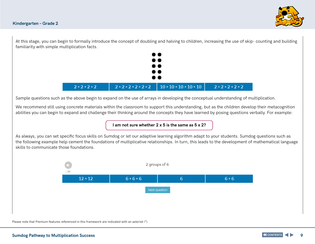

At this stage, you can begin to formally introduce the concept of doubling and halving to children, increasing the use of skip- counting and building familiarity with simple multiplication facts.



Sample questions such as the above begin to expand on the use of arrays in developing the conceptual understanding of multiplication.

We recommend still using concrete materials within the classroom to support this understanding, but as the children develop their metacognition abilities you can begin to expand and challenge their thinking around the concepts they have learned by posing questions verbally. For example:

**I am not sure whether 2 x 5 is the same as 5 x 2?** 

As always, you can set specific focus skills on Sumdog or let our adaptive learning algorithm adapt to your students. Sumdog questions such as the following example help cement the foundations of multiplicative relationships. In turn, this leads to the development of mathematical language skills to communicate those foundations.

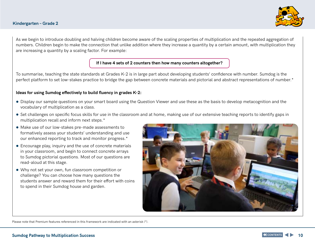

As we begin to introduce doubling and halving children become aware of the scaling properties of multiplication and the repeated aggregation of numbers. Children begin to make the connection that unlike addition where they increase a quantity by a certain amount, with multiplication they are increasing a quantity by a scaling factor. For example:

### **If I have 4 sets of 2 counters then how many counters altogether?**

To summarise, teaching the state standards at Grades K-2 is in large part about developing students' confidence with number. Sumdog is the perfect platform to set low-stakes practice to bridge the gap between concrete materials and pictorial and abstract representations of number.\*

### **Ideas for using Sumdog effectively to build fluency in grades K-2:**

- Display our sample questions on your smart board using the Question Viewer and use these as the basis to develop metacognition and the vocabulary of multiplication as a class.
- Set challenges on specific focus skills for use in the classroom and at home, making use of our extensive teaching reports to identify gaps in multiplication recall and inform next steps.\*
- Make use of our low-stakes pre-made assessments to formatively assess your students' understanding and use our enhanced reporting to track and monitor progress.\*
- Encourage play, inquiry and the use of concrete materials in your classroom, and begin to connect concrete arrays to Sumdog pictorial questions. Most of our questions are read-aloud at this stage.
- ● Why not set your own, fun classroom competition or challenge? You can choose how many questions the students answer and reward them for their effort with coins to spend in their Sumdog house and garden.

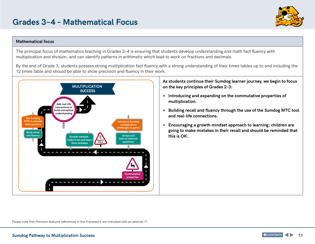#### **Mathematical focus**

The principal focus of mathematics teaching in Grades 3–4 is ensuring that students develop understanding and math fact fluency with multiplication and division, and can identify patterns in arithmetic which lead to work on fractions and decimals.

By the end of Grade 3, students possess strong multiplication fact fluency with a strong understanding of their times tables up to and including the 12 times table and should be able to show precision and fluency in their work.



**As students continue their Sumdog learner journey, we begin to focus** 

- **+ Introducing and expanding on the commutative properties of**
- **+ Building recall and fluency through the use of the Sumdog MTC tool**
- **+ Encouraging a growth mindset approach to learning; children are going to make mistakes in their recall and should be reminded that**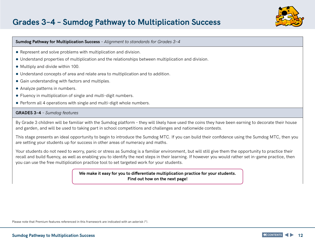### **Grades 3–4 – Sumdog Pathway to Multiplication Success**



#### **Sumdog Pathway for Multiplication Success** *– Alignment to standards for Grades 3–4*

- Represent and solve problems with multiplication and division.
- Understand properties of multiplication and the relationships between multiplication and division.
- ● Multiply and divide within 100.
- ● Understand concepts of area and relate area to multiplication and to addition.
- Gain understanding with factors and multiples.
- Analyze patterns in numbers.
- Fluency in multiplication of single and multi-digit numbers.
- Perform all 4 operations with single and multi-digit whole numbers.

#### **GRADES 3–4** *– Sumdog features*

By Grade 3 children will be familiar with the Sumdog platform – they will likely have used the coins they have been earning to decorate their house and garden, and will be used to taking part in school competitions and challenges and nationwide contests.

This stage presents an ideal opportunity to begin to introduce the Sumdog MTC. If you can build their confidence using the Sumdog MTC, then you are setting your students up for success in other areas of numeracy and maths.

Your students do not need to worry, panic or stress as Sumdog is a familiar environment, but will still give them the opportunity to practice their recall and build fluency, as well as enabling you to identify the next steps in their learning. If however you would rather set in-game practice, then you can use the free multiplication practice tool to set targeted work for your students.

> **We make it easy for you to differentiate multiplication practice for your students. Find out how on the next page!**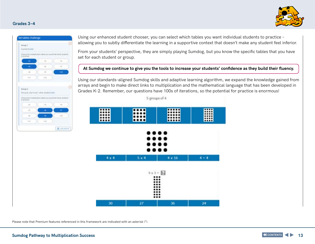#### **Grades 3–4**



#### let tables challenge Group? Singlet Edeld ultrails about sales you would like these students to practice  $\alpha$  ).  $\sim$  $\sim$ YF.  $\rightarrow$  $+11$  $181.0$ Sroup 2 Pering II, Like H and T other student (edit) test dailying any periodal May Morrow Mockwell Ti avanti  $\rightarrow$  $\alpha$  $\sim$  $\rightarrow$  $+11$ **Add**  $+11$ A Accomp

Using our enhanced student chooser, you can select which tables you want individual students to practice – allowing you to subtly differentiate the learning in a supportive context that doesn't make any student feel inferior.

From your students' perspective, they are simply playing Sumdog, but you know the specific tables that you have set for each student or group.

### **At Sumdog we continue to give you the tools to increase your students' confidence as they build their fluency.**

Using our standards-aligned Sumdog skills and adaptive learning algorithm, we expand the knowledge gained from arrays and begin to make direct links to multiplication and the mathematical language that has been developed in Grades K-2. Remember, our questions have 100s of iterations, so the potential for practice is enormous!

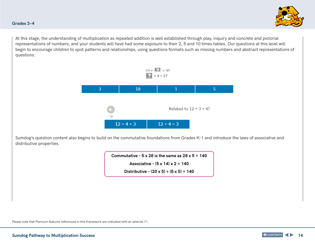At this stage, the understanding of multiplication as repeated addition is well established through play, inquiry and concrete and pictorial representations of numbers, and your students will have had some exposure to their 2, 5 and 10 times tables. Our questions at this level will begin to encourage children to spot patterns and relationships, using questions formats such as missing numbers and abstract representations of questions.

### $10 \times 7 = 30$  $2 × 9 = 27$ 3  $5<sup>°</sup>$ 18  $\mathbf{1}$  $\overline{\phantom{a}}$

Sumdog's question content also begins to build on the commutative foundations from Grades K-1 and introduce the laws of associative and distributive properties.

> **Commutative – 5 x 28 is the same as 28 x 5 = 140 Associative – (5 x 14) x 2 = 140**

> > **Distributive – (20 x 5) + (8 x 5) = 140**

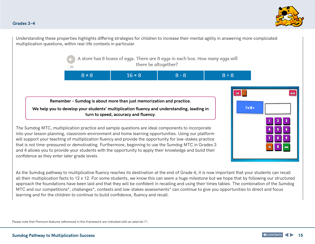#### **Grades 3–4**

Understanding these properties highlights differing strategies for children to increase their mental agility in answering more complicated multiplication questions, within real-life contexts in particular.

> A store has 8 boxes of eggs. There are 8 eggs in each box. How many eggs will there be altogether?

| $8 \times 8$ | $16 \times R$ | $\mathbf{R} - \mathbf{R}$ | $+8$ |
|--------------|---------------|---------------------------|------|
|--------------|---------------|---------------------------|------|

**Remember – Sumdog is about more than just memorization and practice.** 

**We help you to develop your students' multiplication fluency and understanding, leading in turn to speed, accuracy and fluency.** 

The Sumdog MTC, multiplication practice and sample questions are ideal components to incorporate into your lesson planning, classroom environment and home learning opportunities. Using our platform will support your teaching of multiplication fluency and provide the opportunity for low-stakes practice that is not time-pressured or demotivating. Furthermore, beginning to use the Sumdog MTC in Grades 3 and 4 allows you to provide your students with the opportunity to apply their knowledge and build their confidence as they enter later grade levels.



As the Sumdog pathway to multiplicative fluency reaches its destination at the end of Grade 4, it is now important that your students can recall all their multiplication facts to 12 x 12. For some students, we know this can seem a huge milestone but we hope that by following our structured approach the foundations have been laid and that they will be confident in recalling and using their times tables. The combination of the Sumdog MTC and our competitions\*, challenges\*, contests and low-stakes assessments\* can continue to give you opportunities to direct and focus learning and for the children to continue to build confidence, fluency and recall.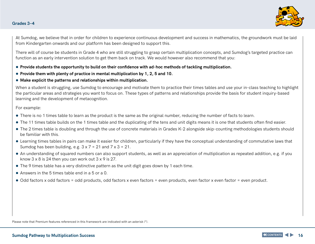

At Sumdog, we believe that in order for children to experience continuous development and success in mathematics, the groundwork must be laid from Kindergarten onwards and our platform has been designed to support this.

There will of course be students in Grade 4 who are still struggling to grasp certain multiplication concepts, and Sumdog's targeted practice can function as an early intervention solution to get them back on track. We would however also recommend that you:

- ● **Provide students the opportunity to build on their confidence with ad-hoc methods of tackling multiplication.**
- Provide them with plenty of practice in mental multiplication by 1, 2, 5 and 10.
- ● **Make explicit the patterns and relationships within multiplication.**

When a student is struggling, use Sumdog to encourage and motivate them to practice their times tables and use your in-class teaching to highlight the particular areas and strategies you want to focus on. These types of patterns and relationships provide the basis for student inquiry-based learning and the development of metacognition.

#### For example:

- There is no 1 times table to learn as the product is the same as the original number, reducing the number of facts to learn.
- The 11 times table builds on the 1 times table and the duplicating of the tens and unit digits means it is one that students often find easier.
- The 2 times table is doubling and through the use of concrete materials in Grades K-2 alongside skip-counting methodologies students should be familiar with this.
- Learning times tables in pairs can make it easier for children, particularly if they have the conceptual understanding of commutative laws that Sumdog has been building, e.g.  $3 \times 7 = 21$  and  $7 \times 3 = 21$ .
- An understanding of squared numbers can also support students, as well as an appreciation of multiplication as repeated addition, e.g. if you know  $3 \times 8$  is 24 then you can work out  $3 \times 9$  is 27.
- The 9 times table has a very distinctive pattern as the unit digit goes down by 1 each time.
- $\bullet$  Answers in the 5 times table end in a 5 or a 0.
- Odd factors x odd factors = odd products, odd factors x even factors = even products, even factor x even factor = even product.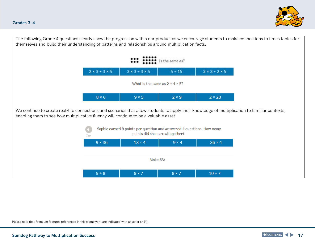



The following Grade 4 questions clearly show the progression within our product as we encourage students to make connections to times tables for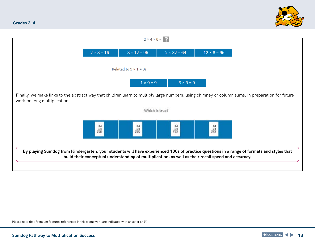

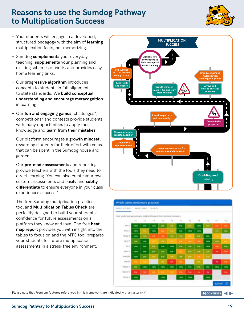### **Reasons to use the Sumdog Pathway to Multiplication Success The Sumdog Pathway to Multiplication Success – A Visual Guide The Sumdog Pathway to Multiplication Success –**

- + Your students will engage in a developed, structured pedagogy with the aim of **learning**  multiplication facts, not memorizing.
- + Sumdog **complements** your everyday teaching, **supplements** your planning and existing schemes of work, and provides easy home learning links.
- + Our **progressive algorithm** introduces concepts to students in full alignment to state standards. We **build conceptual understanding and encourage metacognition** in learning.
- + Our **fun and engaging games**, challenges\*, competitions\* and contests provide students with many opportunities to apply their knowledge and **learn from their mistakes**.
- + Our platform encourages a **growth mindset**, rewarding students for their effort with coins that can be spent in the Sumdog house and garden.
- + Our **pre-made assessments** and reporting provide teachers with the tools they need to direct learning. You can also create your own custom assessments and easily and **subtly differentiate** to ensure everyone in your class experiences success.\*
- + The free Sumdog multiplication practice tool and **Multiplication Tables Check** are perfectly designed to build your students' confidence for future assessments on a platform they know and love. The free **heat map report** provides you with insight into the tables to focus on and the MTC tool prepares your students for future multiplication assessments in a stress-free environment.



| RESIST ACCURACITY                                                         |                                                                                                |             | RICHT SHEEL ALANCE |             |                 |             |             |              |                |                          |              |
|---------------------------------------------------------------------------|------------------------------------------------------------------------------------------------|-------------|--------------------|-------------|-----------------|-------------|-------------|--------------|----------------|--------------------------|--------------|
| Your pupils' average actoracy, weighted towards the recol recent answers. |                                                                                                |             |                    |             |                 |             | <b>STA</b>  |              |                |                          |              |
|                                                                           | $\frac{1}{2}$                                                                                  | $\times 3$  | $^{14}$            | 访           | $\frac{1}{2}$   | $\times$    | ×ä          | $-1$         | 113            | <b>ATT</b>               | HTS          |
| Algo A                                                                    | <b>HEN</b>                                                                                     | <b>SIDE</b> | <b>THE R</b>       | $\cdots$    | 799             | 878         | <b>STR</b>  | 1,13,748     | 700            | $\sim$                   | $\mathbf{m}$ |
| <b>Diris C</b>                                                            | <b>tors</b>                                                                                    | $\sim$      | <b>TIER</b>        | <b>UH</b>   | 1.14            | 179         | <b>TAPS</b> | <b>TEERS</b> |                | PUN.                     | $\mathbf{z}$ |
| Palipe ti                                                                 | tore                                                                                           | $\sim$      | 1974               | <b>STAR</b> | <b>TM</b>       | 798         |             | <b>ROW</b>   | <b>SFR</b>     | ۰                        |              |
| Hamp P.                                                                   | -                                                                                              | <b>SIRM</b> | $\sim$             | <b>THE</b>  | ٠               | -           | ٠           | $\sim$       | <b>TERR</b>    | <b>STAR</b>              | ٠            |
| $j = 5$                                                                   | <b>FORM</b>                                                                                    | <b>SIN</b>  | <b>CH</b>          | <b>WHEN</b> | 10 <sub>m</sub> | <b>SUN</b>  | m           | <b>SIN</b>   | 1279           | m                        | -            |
| <b>Fanzin K.</b>                                                          | <b>TEPS</b>                                                                                    | <b>SOV</b>  | m                  | <b>TN</b>   | <b>NOW</b>      | ٠           | <b>EN</b>   | m            | 79             | $\overline{\phantom{a}}$ | m            |
| blacky fol                                                                | tors                                                                                           | <b>TSN</b>  | <b>APR</b>         | <b>EN</b>   | 206             | 768         | <b>SON</b>  |              | <b>CTE</b>     |                          |              |
| <b>INES IN</b>                                                            | $\frac{1}{2} \left( \frac{1}{2} \right) \left( \frac{1}{2} \right) \left( \frac{1}{2} \right)$ |             |                    | ٠           | 176             | $\sim$      |             | <b>STR</b>   |                | ۰                        | $\mathbf{m}$ |
| Regina G                                                                  | <b>MS</b>                                                                                      | 1879        | tare               | tion        | <b>12M</b>      | <b>TIER</b> | 174         | 18           | $\blacksquare$ | tare                     | THEM         |
| Simouri, 11                                                               | 179                                                                                            | <b>SHE</b>  | 100                |             | ٠               |             | 124         |              | ۰              |                          | <b>Date:</b> |
| Vapne A                                                                   | <b>TIER</b>                                                                                    |             |                    | turn        |                 | 1979        | tare        |              | <b>TIME</b>    |                          |              |

Please note that Premium features referenced in this framework are indicated with an asterisk (\*).

**K** CONTENTS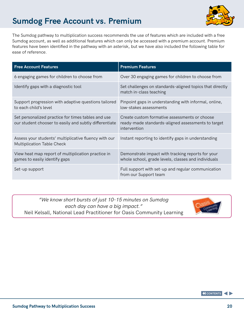# **Sumdog Free Account vs. Premium**



The Sumdog pathway to multiplication success recommends the use of features which are included with a free Sumdog account, as well as additional features which can only be accessed with a premium account. Premium features have been identified in the pathway with an asterisk, but we have also included the following table for ease of reference.

| <b>Free Account Features</b>                                                                                 | <b>Premium Features</b>                                                                                             |
|--------------------------------------------------------------------------------------------------------------|---------------------------------------------------------------------------------------------------------------------|
| 6 engaging games for children to choose from                                                                 | Over 30 engaging games for children to choose from                                                                  |
| Identify gaps with a diagnostic tool                                                                         | Set challenges on standards-aligned topics that directly<br>match in-class teaching                                 |
| Support progression with adaptive questions tailored<br>to each child's level                                | Pinpoint gaps in understanding with informal, online,<br>low-stakes assessments                                     |
| Set personalized practice for times tables and use<br>our student chooser to easily and subtly differentiate | Create custom formative assessments or choose<br>ready-made standards-aligned assessments to target<br>intervention |
| Assess your students' multiplicative fluency with our<br><b>Multiplication Table Check</b>                   | Instant reporting to identify gaps in understanding                                                                 |
| View heat map report of multiplication practice in<br>games to easily identify gaps                          | Demonstrate impact with tracking reports for your<br>whole school, grade levels, classes and individuals            |
| Set-up support                                                                                               | Full support with set-up and regular communication<br>from our Support team                                         |

*"We know short bursts of just 10-15 minutes on Sumdog each day can have a big impact."*  Neil Kelsall, National Lead Practitioner for Oasis Community Learning



**K** CONTENTS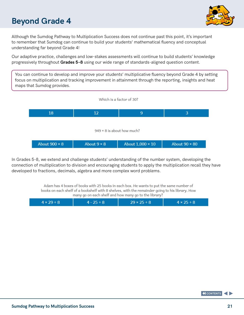# **Beyond Grade 4**



Although the Sumdog Pathway to Multiplication Success does not continue past this point, it's important to remember that Sumdog can continue to build your students' mathematical fluency and conceptual understanding far beyond Grade 4!

Our adaptive practice, challenges and low-stakes assessments will continue to build students' knowledge progressively throughout **Grades 5–8** using our wide range of standards-aligned question content.

You can continue to develop and improve your students' multiplicative fluency beyond Grade 4 by setting focus on multiplication and tracking improvement in attainment through the reporting, insights and heat maps that Sumdog provides.



In Grades 5-8, we extend and challenge students' understanding of the number system, developing the connection of multiplication to division and encouraging students to apply the multiplication recall they have developed to fractions, decimals, algebra and more complex word problems.

> Adam has 4 boxes of books with 25 books in each box. He wants to put the same number of books on each shelf of a bookshelf with 8 shelves, with the remainder going to his library. How many go on each shelf and how many go to the library?

| $4 \times 29 \div 8$ | $4 - 25 \div 8$ | $29 \times 25 \div 8$ | $4 \times 25 \div 8$ |
|----------------------|-----------------|-----------------------|----------------------|
|                      |                 |                       |                      |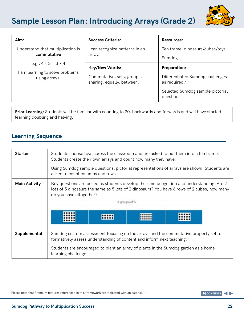# **Sample Lesson Plan: Introducing Arrays (Grade 2)**



| Aim:                                                                                | <b>Success Criteria:</b>                                                   | <b>Resources:</b>                                                                                                          |  |  |
|-------------------------------------------------------------------------------------|----------------------------------------------------------------------------|----------------------------------------------------------------------------------------------------------------------------|--|--|
| Understand that multiplication is<br>commutative                                    | can recognize patterns in an<br>array.                                     | Ten frame, dinosaurs/cubes/toys.<br>Sumdog                                                                                 |  |  |
| e.g., $4 \times 3 = 3 \times 4$<br>I am learning to solve problems<br>using arrays. | Key/New Words:<br>Commutative, sets, groups,<br>sharing, equally, between. | <b>Preparation:</b><br>Differentiated Sumdog challenges<br>as required.*<br>Selected Sumdog sample pictorial<br>questions. |  |  |

**Prior Learning:** Students will be familiar with counting to 20, backwards and forwards and will have started learning doubling and halving.

### **Learning Sequence**

| <b>Starter</b>       | Students choose toys across the classroom and are asked to put them into a ten frame.<br>Students create their own arrays and count how many they have.<br>Using Sumdog sample questions, pictorial representations of arrays are shown. Students are<br>asked to count columns and rows. |  |  |  |  |  |  |
|----------------------|-------------------------------------------------------------------------------------------------------------------------------------------------------------------------------------------------------------------------------------------------------------------------------------------|--|--|--|--|--|--|
| <b>Main Activity</b> | Key questions are posed as students develop their metacognition and understanding. Are 2<br>lots of 5 dinosaurs the same as 5 lots of 2 dinosaurs? You have 6 rows of 2 cubes, how many<br>do you have altogether?<br>3 groups of 5                                                       |  |  |  |  |  |  |
| Supplemental         | Sumdog custom assessment focusing on the arrays and the commutative property set to<br>formatively assess understanding of content and inform next teaching.*<br>Students are encouraged to plant an array of plants in the Sumdog garden as a home<br>learning challenge.                |  |  |  |  |  |  |

Please note that Premium features referenced in this framework are indicated with an asterisk (\*).

**K** CONTENTS 4 D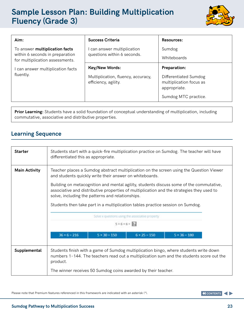## **Sample Lesson Plan: Building Multiplication Fluency (Grade 3)**



| Aim:                                                                                                        | <b>Success Criteria</b>                                                      | Resources:                                                                                                      |
|-------------------------------------------------------------------------------------------------------------|------------------------------------------------------------------------------|-----------------------------------------------------------------------------------------------------------------|
| To answer <b>multiplication facts</b><br>within 6 seconds in preparation<br>for multiplication assessments. | can answer multiplication<br>questions within 6 seconds.                     | Sumdog<br>Whiteboards                                                                                           |
| can answer multiplication facts<br>fluently.                                                                | Key/New Words:<br>Multiplication, fluency, accuracy,<br>efficiency, agility. | <b>Preparation:</b><br>Differentiated Sumdog<br>multiplication focus as<br>appropriate.<br>Sumdog MTC practice. |

**Prior Learning:** Students have a solid foundation of conceptual understanding of multiplication, including commutative, associative and distributive properties.

### **Learning Sequence**

| <b>Starter</b>       | Students start with a quick-fire multiplication practice on Sumdog. The teacher will have<br>differentiated this as appropriate.                                                                                                                                                                                                                                                                                                                                                 |  |  |  |  |  |  |
|----------------------|----------------------------------------------------------------------------------------------------------------------------------------------------------------------------------------------------------------------------------------------------------------------------------------------------------------------------------------------------------------------------------------------------------------------------------------------------------------------------------|--|--|--|--|--|--|
| <b>Main Activity</b> | Teacher places a Sumdog abstract multiplication on the screen using the Question Viewer<br>and students quickly write their answer on whiteboards.<br>Building on metacognition and mental agility, students discuss some of the commutative,<br>associative and distributive properties of multiplication and the strategies they used to<br>solve, including the patterns and relationships.<br>Students then take part in a multiplication tables practice session on Sumdog. |  |  |  |  |  |  |
|                      | Solve x questions using the associative property<br>$5 \times 6 \times 6 = 2$<br>$5 \times 30 = 150$<br>$36 \times 6 = 216$<br>$6 \times 25 = 150$<br>$5 \times 36 = 180$                                                                                                                                                                                                                                                                                                        |  |  |  |  |  |  |
| Supplemental         | Students finish with a game of Sumdog multiplication bingo, where students write down<br>numbers 1-144. The teachers read out a multiplication sum and the students score out the<br>product.<br>The winner receives 50 Sumdog coins awarded by their teacher.                                                                                                                                                                                                                   |  |  |  |  |  |  |

Please note that Premium features referenced in this framework are indicated with an asterisk (\*).

**K** CONTENTS ◀▶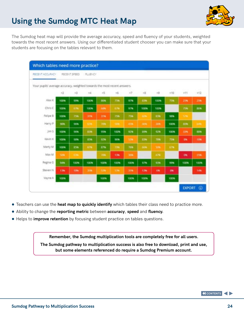# **Using the Sumdog MTC Heat Map**



The Sumdog heat map will provide the average accuracy, speed and fluency of your students, weighted towards the most recent answers. Using our differentiated student chooser you can make sure that your students are focusing on the tables relevant to them.

| RECENT ACCURACY                                                          |             | RECENT SPEED | <b>FLUENCY</b> |            |                 |      |              |      |            |            |                |
|--------------------------------------------------------------------------|-------------|--------------|----------------|------------|-----------------|------|--------------|------|------------|------------|----------------|
| Your pupils' average accuracy, weighted towards the most recent answers. |             |              |                |            |                 |      |              |      |            |            |                |
|                                                                          | x2          | x3           | nL             | n5         | $+6$            | $-7$ | $\times 2$   | wQ   | $+10$      | $+11$      | x12            |
| Alex K                                                                   | 100%        | 99%          | 100%           | <b>BOW</b> | 75%             | 978  | <b>E2W</b>   | 100% | 75W        | 25%        | 25%            |
| Chris $C$                                                                | 100%        | 67%          | 100%           | 449        | 678             | 976  | 100%         | 100% |            | 75%        | <b>BSK</b>     |
| Felipe B                                                                 | 100%        | 75%          | 31%            | 319.       | 75W             | 75%  | <b>SON</b>   | 83%  | <b>98%</b> | <b>STR</b> |                |
| Harry P                                                                  | <b>SON</b>  | 96%          | <b>STA</b>     | 724        | <b>Separate</b> | 45%  | <b>James</b> | 30%  | 100W       | <b>ROW</b> | <b>Address</b> |
| jim5                                                                     | 100%        | <b>96%</b>   | 83%            | 95%        | 100%            | 92%  | 19%          | 92%  | 100%       | <b>JEW</b> | 10%            |
| Kevin K                                                                  | <b>100%</b> | 90%          | 85%            | 92%        | 96%             | 5.74 | 8296         | 70%  | 75%        | m          | 10%            |
| Marty M                                                                  | 100W        | 85%          | 678            | 876        | 73%             | 76%  | -1496        | 50%  | 578        |            |                |
| Max M.                                                                   | SON         | <b>COM</b>   |                | 70%        | 13%             | 36%  |              | 678  |            | ON         | 25%            |
| Regina G                                                                 | 948         | 100%         | 100%           | 100%       | 100%            | 100% | 97%          | 93%  | 99%        | 100%       | 100%           |
| Steven N                                                                 | 13%         | 10%          | 35%            | 500        | 536             | 31%  | 13%          | 696  | 0%         |            | 14%            |
| Vayne A.                                                                 | 100%        |              |                | 100%       |                 | 100% | 100%         |      | 100%       |            |                |

- **Teachers can use the heat map to quickly identify** which tables their class need to practice more.
- ● Ability to change the **reporting metric** between **accuracy**, **speed** and **fluency.**
- Helps to **improve retention** by focusing student practice on tables questions.

**Remember, the Sumdog multiplication tools are completely free for all users. The Sumdog pathway to multiplication success is also free to download, print and use, but some elements referenced do require a Sumdog Premium account.**